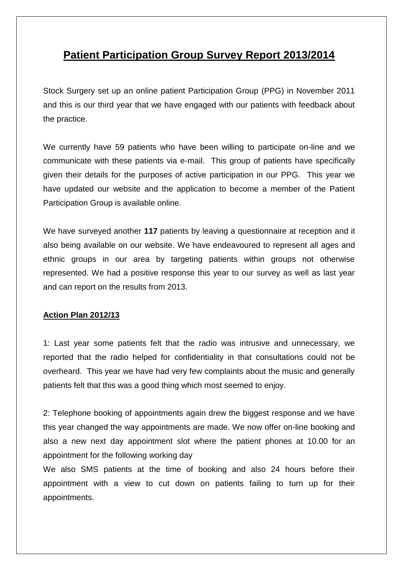## **Patient Participation Group Survey Report 2013/2014**

Stock Surgery set up an online patient Participation Group (PPG) in November 2011 and this is our third year that we have engaged with our patients with feedback about the practice.

We currently have 59 patients who have been willing to participate on-line and we communicate with these patients via e-mail. This group of patients have specifically given their details for the purposes of active participation in our PPG. This year we have updated our website and the application to become a member of the Patient Participation Group is available online.

We have surveyed another **117** patients by leaving a questionnaire at reception and it also being available on our website. We have endeavoured to represent all ages and ethnic groups in our area by targeting patients within groups not otherwise represented. We had a positive response this year to our survey as well as last year and can report on the results from 2013.

#### **Action Plan 2012/13**

1: Last year some patients felt that the radio was intrusive and unnecessary, we reported that the radio helped for confidentiality in that consultations could not be overheard. This year we have had very few complaints about the music and generally patients felt that this was a good thing which most seemed to enjoy.

2: Telephone booking of appointments again drew the biggest response and we have this year changed the way appointments are made. We now offer on-line booking and also a new next day appointment slot where the patient phones at 10.00 for an appointment for the following working day

We also SMS patients at the time of booking and also 24 hours before their appointment with a view to cut down on patients failing to turn up for their appointments.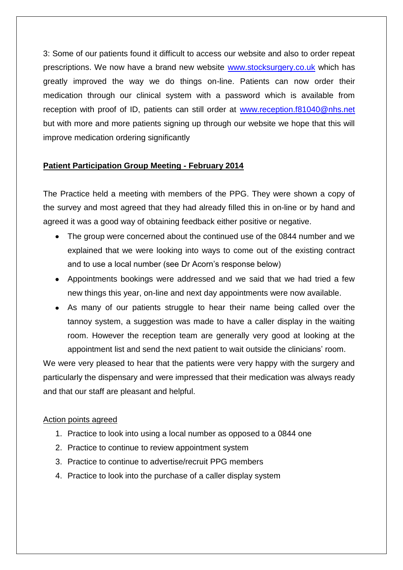3: Some of our patients found it difficult to access our website and also to order repeat prescriptions. We now have a brand new website [www.stocksurgery.co.uk](http://www.stocksurgery.co.uk/) which has greatly improved the way we do things on-line. Patients can now order their medication through our clinical system with a password which is available from reception with proof of ID, patients can still order at [www.reception.f81040@nhs.net](http://www.reception.f81040@nhs.net/) but with more and more patients signing up through our website we hope that this will improve medication ordering significantly

### **Patient Participation Group Meeting - February 2014**

The Practice held a meeting with members of the PPG. They were shown a copy of the survey and most agreed that they had already filled this in on-line or by hand and agreed it was a good way of obtaining feedback either positive or negative.

- The group were concerned about the continued use of the 0844 number and we explained that we were looking into ways to come out of the existing contract and to use a local number (see Dr Acorn's response below)
- Appointments bookings were addressed and we said that we had tried a few new things this year, on-line and next day appointments were now available.
- As many of our patients struggle to hear their name being called over the tannoy system, a suggestion was made to have a caller display in the waiting room. However the reception team are generally very good at looking at the appointment list and send the next patient to wait outside the clinicians' room.

We were very pleased to hear that the patients were very happy with the surgery and particularly the dispensary and were impressed that their medication was always ready and that our staff are pleasant and helpful.

#### Action points agreed

- 1. Practice to look into using a local number as opposed to a 0844 one
- 2. Practice to continue to review appointment system
- 3. Practice to continue to advertise/recruit PPG members
- 4. Practice to look into the purchase of a caller display system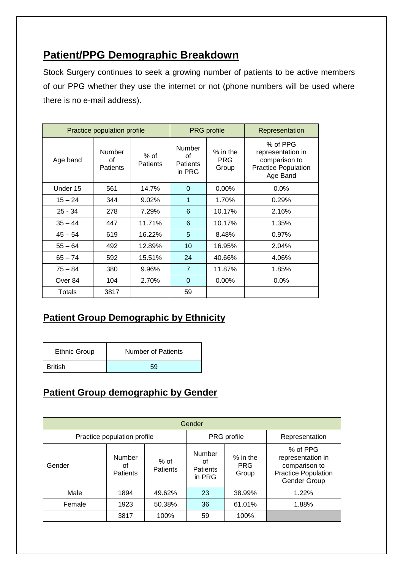# **Patient/PPG Demographic Breakdown**

Stock Surgery continues to seek a growing number of patients to be active members of our PPG whether they use the internet or not (phone numbers will be used where there is no e-mail address).

| Practice population profile |                                 |                           | <b>PRG</b> profile                        |                                   | Representation                                                                           |
|-----------------------------|---------------------------------|---------------------------|-------------------------------------------|-----------------------------------|------------------------------------------------------------------------------------------|
| Age band                    | Number<br>οf<br><b>Patients</b> | $%$ of<br><b>Patients</b> | Number<br>οf<br><b>Patients</b><br>in PRG | $%$ in the<br><b>PRG</b><br>Group | % of PPG<br>representation in<br>comparison to<br><b>Practice Population</b><br>Age Band |
| Under 15                    | 561                             | 14.7%                     | $\Omega$                                  | $0.00\%$                          | $0.0\%$                                                                                  |
| $15 - 24$                   | 344                             | $9.02\%$                  | 1                                         | 1.70%                             | 0.29%                                                                                    |
| $25 - 34$                   | 278                             | 7.29%                     | 6                                         | 10.17%                            | 2.16%                                                                                    |
| $35 - 44$                   | 447                             | 11.71%                    | 6                                         | 10.17%                            | 1.35%                                                                                    |
| $45 - 54$                   | 619                             | 16.22%                    | 5                                         | 8.48%                             | 0.97%                                                                                    |
| $55 - 64$                   | 492                             | 12.89%                    | 10                                        | 16.95%                            | 2.04%                                                                                    |
| $65 - 74$                   | 592                             | 15.51%                    | 24                                        | 40.66%                            | 4.06%                                                                                    |
| $75 - 84$                   | 380                             | 9.96%                     | $\overline{7}$                            | 11.87%                            | 1.85%                                                                                    |
| Over 84                     | 104                             | 2.70%                     | $\mathbf 0$                               | $0.00\%$                          | $0.0\%$                                                                                  |
| Totals                      | 3817                            |                           | 59                                        |                                   |                                                                                          |

### **Patient Group Demographic by Ethnicity**

| <b>Ethnic Group</b> | <b>Number of Patients</b> |
|---------------------|---------------------------|
| British             | 59                        |

# **Patient Group demographic by Gender**

| Gender                      |                                 |                    |                                           |                                   |                                                                                              |  |  |
|-----------------------------|---------------------------------|--------------------|-------------------------------------------|-----------------------------------|----------------------------------------------------------------------------------------------|--|--|
| Practice population profile |                                 |                    | PRG profile                               |                                   | Representation                                                                               |  |  |
| Gender                      | Number<br>οt<br><b>Patients</b> | $%$ of<br>Patients | Number<br>οf<br><b>Patients</b><br>in PRG | $%$ in the<br><b>PRG</b><br>Group | % of PPG<br>representation in<br>comparison to<br><b>Practice Population</b><br>Gender Group |  |  |
| Male                        | 1894                            | 49.62%             | 23                                        | 38.99%                            | 1.22%                                                                                        |  |  |
| Female                      | 1923                            | 50.38%             | 36                                        | 61.01%                            | 1.88%                                                                                        |  |  |
|                             | 3817                            | 100%               | 59                                        | 100%                              |                                                                                              |  |  |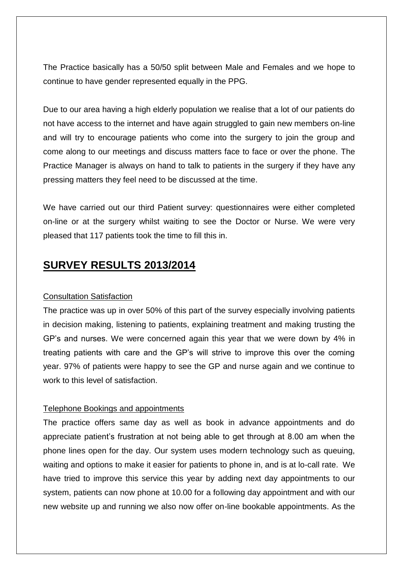The Practice basically has a 50/50 split between Male and Females and we hope to continue to have gender represented equally in the PPG.

Due to our area having a high elderly population we realise that a lot of our patients do not have access to the internet and have again struggled to gain new members on-line and will try to encourage patients who come into the surgery to join the group and come along to our meetings and discuss matters face to face or over the phone. The Practice Manager is always on hand to talk to patients in the surgery if they have any pressing matters they feel need to be discussed at the time.

We have carried out our third Patient survey: questionnaires were either completed on-line or at the surgery whilst waiting to see the Doctor or Nurse. We were very pleased that 117 patients took the time to fill this in.

## **SURVEY RESULTS 2013/2014**

#### Consultation Satisfaction

The practice was up in over 50% of this part of the survey especially involving patients in decision making, listening to patients, explaining treatment and making trusting the GP's and nurses. We were concerned again this year that we were down by 4% in treating patients with care and the GP's will strive to improve this over the coming year. 97% of patients were happy to see the GP and nurse again and we continue to work to this level of satisfaction.

#### Telephone Bookings and appointments

The practice offers same day as well as book in advance appointments and do appreciate patient's frustration at not being able to get through at 8.00 am when the phone lines open for the day. Our system uses modern technology such as queuing, waiting and options to make it easier for patients to phone in, and is at lo-call rate. We have tried to improve this service this year by adding next day appointments to our system, patients can now phone at 10.00 for a following day appointment and with our new website up and running we also now offer on-line bookable appointments. As the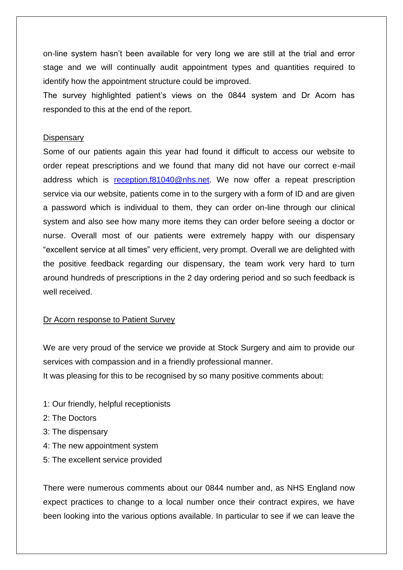on-line system hasn't been available for very long we are still at the trial and error stage and we will continually audit appointment types and quantities required to identify how the appointment structure could be improved.

The survey highlighted patient's views on the 0844 system and Dr Acorn has responded to this at the end of the report.

#### **Dispensary**

Some of our patients again this year had found it difficult to access our website to order repeat prescriptions and we found that many did not have our correct e-mail address which is [reception.f81040@nhs.net.](mailto:reception.f81040@nhs.net) We now offer a repeat prescription service via our website, patients come in to the surgery with a form of ID and are given a password which is individual to them, they can order on-line through our clinical system and also see how many more items they can order before seeing a doctor or nurse. Overall most of our patients were extremely happy with our dispensary "excellent service at all times" very efficient, very prompt. Overall we are delighted with the positive feedback regarding our dispensary, the team work very hard to turn around hundreds of prescriptions in the 2 day ordering period and so such feedback is well received.

#### Dr Acorn response to Patient Survey

We are very proud of the service we provide at Stock Surgery and aim to provide our services with compassion and in a friendly professional manner.

It was pleasing for this to be recognised by so many positive comments about:

- 1: Our friendly, helpful receptionists
- 2: The Doctors
- 3: The dispensary
- 4: The new appointment system
- 5: The excellent service provided

There were numerous comments about our 0844 number and, as NHS England now expect practices to change to a local number once their contract expires, we have been looking into the various options available. In particular to see if we can leave the